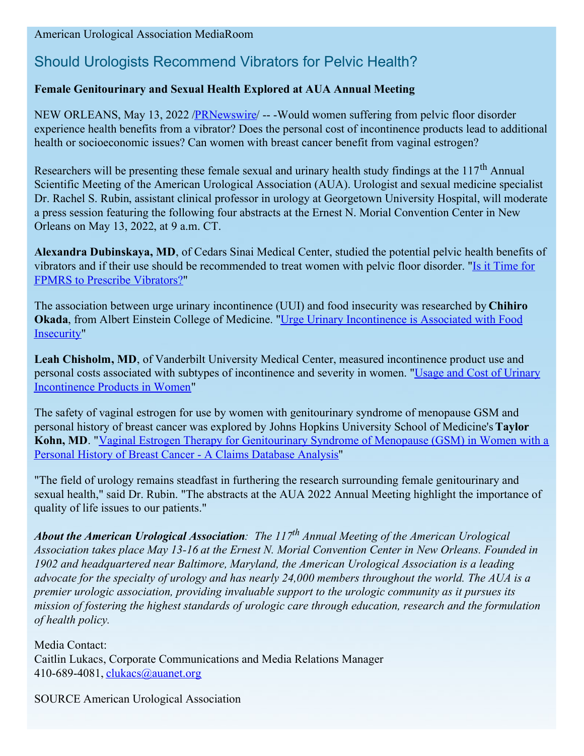## American Urological Association MediaRoom

## Should Urologists Recommend Vibrators for Pelvic Health?

## **Female Genitourinary and Sexual Health Explored at AUA Annual Meeting**

NEW ORLEANS, May 13, 2022 [/PRNewswire](http://www.prnewswire.com/)/ -- -Would women suffering from pelvic floor disorder experience health benefits from a vibrator? Does the personal cost of incontinence products lead to additional health or socioeconomic issues? Can women with breast cancer benefit from vaginal estrogen?

Researchers will be presenting these female sexual and urinary health study findings at the  $117<sup>th</sup>$  Annual Scientific Meeting of the American Urological Association (AUA). Urologist and sexual medicine specialist Dr. Rachel S. Rubin, assistant clinical professor in urology at Georgetown University Hospital, will moderate a press session featuring the following four abstracts at the Ernest N. Morial Convention Center in New Orleans on May 13, 2022, at 9 a.m. CT.

**Alexandra Dubinskaya, MD**, of Cedars Sinai Medical Center, studied the potential pelvic health benefits of vibrators and if their use should be [recommended](https://c212.net/c/link/?t=0&l=en&o=3536143-1&h=3372316931&u=https%3A%2F%2Fwww.auajournals.org%2Fdoi%2Fabs%2F10.1097%2FJU.0000000000002592.16&a=Is+it+Time+for+FPMRS+to+Prescribe+Vibrators%3F) to treat women with pelvic floor disorder. "Is it Time for FPMRS to Prescribe Vibrators?"

The association between urge urinary incontinence (UUI) and food insecurity was researched by **Chihiro Okada**, from Albert Einstein College of Medicine. "Urge Urinary [Incontinence](https://c212.net/c/link/?t=0&l=en&o=3536143-1&h=2922600088&u=https%3A%2F%2Fwww.auajournals.org%2Fdoi%2Fabs%2F10.1097%2FJU.0000000000002551.11&a=Urge+Urinary+Incontinence+is+Associated+with+Food+Insecurity) is Associated with Food Insecurity"

**Leah Chisholm, MD**, of Vanderbilt University Medical Center, measured incontinence product use and personal costs associated with subtypes of [incontinence](https://c212.net/c/link/?t=0&l=en&o=3536143-1&h=957299682&u=https%3A%2F%2Fwww.auajournals.org%2Fdoi%2Fabs%2F10.1097%2FJU.0000000000002525.12&a=Usage+and+Cost+of+Urinary+Incontinence+Products+in+Women) and severity in women. "Usage and Cost of Urinary Incontinence Products in Women"

The safety of vaginal estrogen for use by women with genitourinary syndrome of menopause GSM and personal history of breast cancer was explored by Johns Hopkins University School of Medicine's **Taylor Kohn, MD**. "Vaginal Estrogen Therapy for [Genitourinary](https://c212.net/c/link/?t=0&l=en&o=3536143-1&h=2702589986&u=https%3A%2F%2Fwww.auajournals.org%2Fdoi%2Fabs%2F10.1097%2FJU.0000000000002605.12&a=Vaginal+Estrogen+Therapy+for+Genitourinary+Syndrome+of+Menopause+(GSM)+in+Women+with+a+Personal+History+of+Breast+Cancer+-+A+Claims+Database+Analysis) Syndrome of Menopause (GSM) in Women with a Personal History of Breast Cancer - A Claims Database Analysis"

"The field of urology remains steadfast in furthering the research surrounding female genitourinary and sexual health," said Dr. Rubin. "The abstracts at the AUA 2022 Annual Meeting highlight the importance of quality of life issues to our patients."

*About the American Urological Association: The 117 th Annual Meeting of the American Urological Association takes place May 13-16 at the Ernest N. Morial Convention Center in New Orleans. Founded in 1902 and headquartered near Baltimore, Maryland, the American Urological Association is a leading* advocate for the specialty of urology and has nearly 24,000 members throughout the world. The AUA is a *premier urologic association, providing invaluable support to the urologic community as it pursues its mission of fostering the highest standards of urologic care through education, research and the formulation of health policy.*

Media Contact: Caitlin Lukacs, Corporate Communications and Media Relations Manager 410-689-4081, *[clukacs@auanet.org](mailto:clukacs@auanet.org)* 

SOURCE American Urological Association